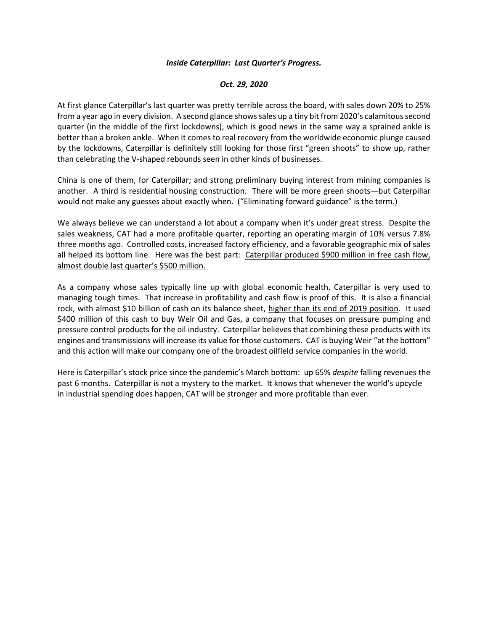## *Inside Caterpillar: Last Quarter's Progress.*

## *Oct. 29, 2020*

At first glance Caterpillar's last quarter was pretty terrible across the board, with sales down 20% to 25% from a year ago in every division. A second glance shows sales up a tiny bit from 2020's calamitous second quarter (in the middle of the first lockdowns), which is good news in the same way a sprained ankle is better than a broken ankle. When it comes to real recovery from the worldwide economic plunge caused by the lockdowns, Caterpillar is definitely still looking for those first "green shoots" to show up, rather than celebrating the V-shaped rebounds seen in other kinds of businesses.

China is one of them, for Caterpillar; and strong preliminary buying interest from mining companies is another. A third is residential housing construction. There will be more green shoots—but Caterpillar would not make any guesses about exactly when. ("Eliminating forward guidance" is the term.)

We always believe we can understand a lot about a company when it's under great stress. Despite the sales weakness, CAT had a more profitable quarter, reporting an operating margin of 10% versus 7.8% three months ago. Controlled costs, increased factory efficiency, and a favorable geographic mix of sales all helped its bottom line. Here was the best part: Caterpillar produced \$900 million in free cash flow, almost double last quarter's \$500 million.

As a company whose sales typically line up with global economic health, Caterpillar is very used to managing tough times. That increase in profitability and cash flow is proof of this. It is also a financial rock, with almost \$10 billion of cash on its balance sheet, higher than its end of 2019 position. It used \$400 million of this cash to buy Weir Oil and Gas, a company that focuses on pressure pumping and pressure control products for the oil industry. Caterpillar believes that combining these products with its engines and transmissions will increase its value for those customers. CAT is buying Weir "at the bottom" and this action will make our company one of the broadest oilfield service companies in the world.

Here is Caterpillar's stock price since the pandemic's March bottom: up 65% *despite* falling revenues the past 6 months. Caterpillar is not a mystery to the market. It knows that whenever the world's upcycle in industrial spending does happen, CAT will be stronger and more profitable than ever.